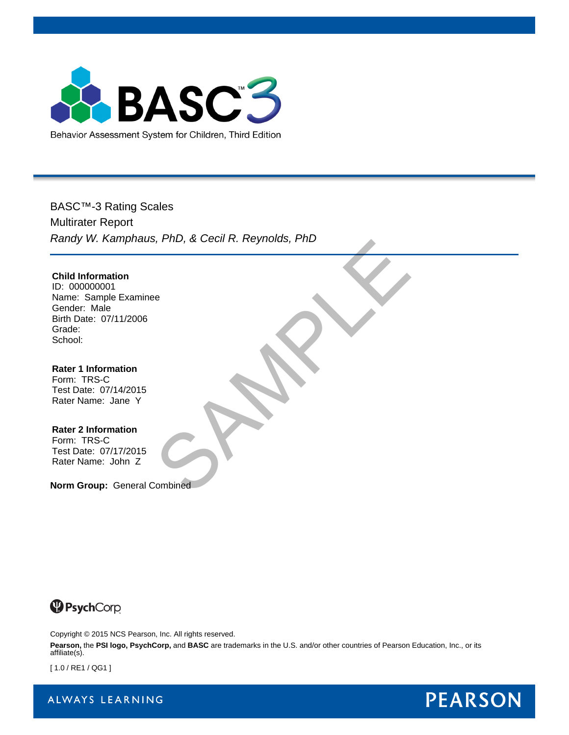

BASC™-3 Rating Scales Multirater Report *Randy W. Kamphaus, PhD, & Cecil R. Reynolds, PhD* Combined

**Child Information** ID: 000000001 Name: Sample Examinee Gender: Male Birth Date: 07/11/2006 Grade: School:

**Rater 1 Information** Form: TRS-C Test Date: 07/14/2015 Rater Name: Jane Y

**Rater 2 Information** Form: TRS-C Test Date: 07/17/2015 Rater Name: John Z

**Norm Group:** General Combined



Copyright © 2015 NCS Pearson, Inc. All rights reserved.

**Pearson,** the **PSI logo, PsychCorp,** and **BASC** are trademarks in the U.S. and/or other countries of Pearson Education, Inc., or its affiliate(s).

[ 1.0 / RE1 / QG1 ]

ALWAYS LEARNING

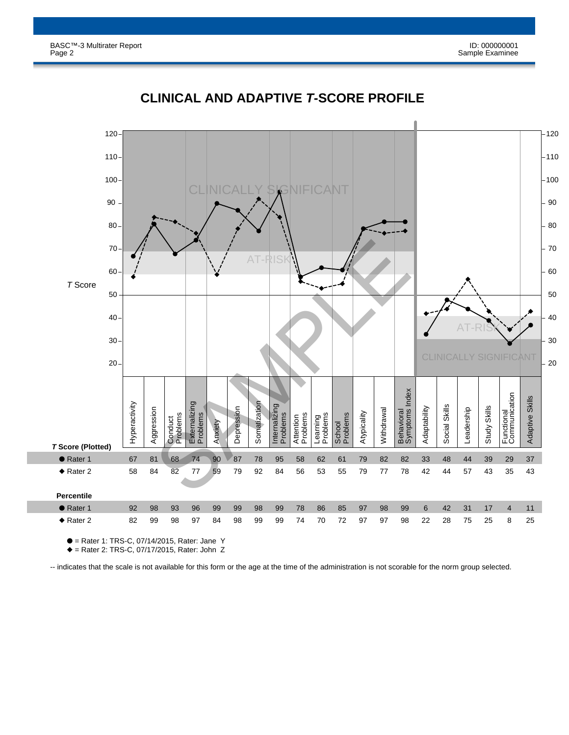

# **CLINICAL AND ADAPTIVE** *T***-SCORE PROFILE**

● = Rater 1: TRS-C, 07/14/2015, Rater: Jane Y

◆ = Rater 2: TRS-C, 07/17/2015, Rater: John Z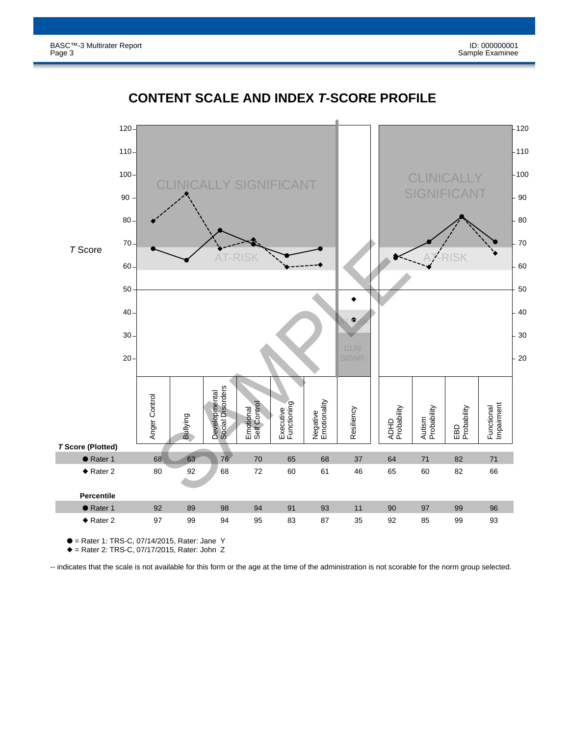

### **CONTENT SCALE AND INDEX** *T***-SCORE PROFILE**

● = Rater 1: TRS-C, 07/14/2015, Rater: Jane Y

◆ = Rater 2: TRS-C, 07/17/2015, Rater: John Z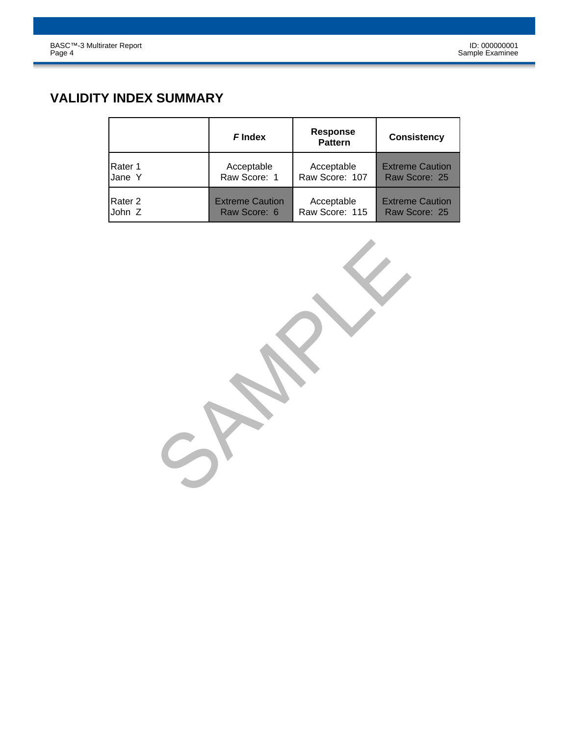# **VALIDITY INDEX SUMMARY**

|         | <b>F</b> Index         | <b>Response</b><br><b>Pattern</b> | <b>Consistency</b>     |
|---------|------------------------|-----------------------------------|------------------------|
| Rater 1 | Acceptable             | Acceptable                        | <b>Extreme Caution</b> |
| Jane Y  | Raw Score: 1           | Raw Score: 107                    | Raw Score: 25          |
| Rater 2 | <b>Extreme Caution</b> | Acceptable                        | <b>Extreme Caution</b> |
| John Z  | Raw Score: 6           | Raw Score: 115                    | Raw Score: 25          |

SPAMPLE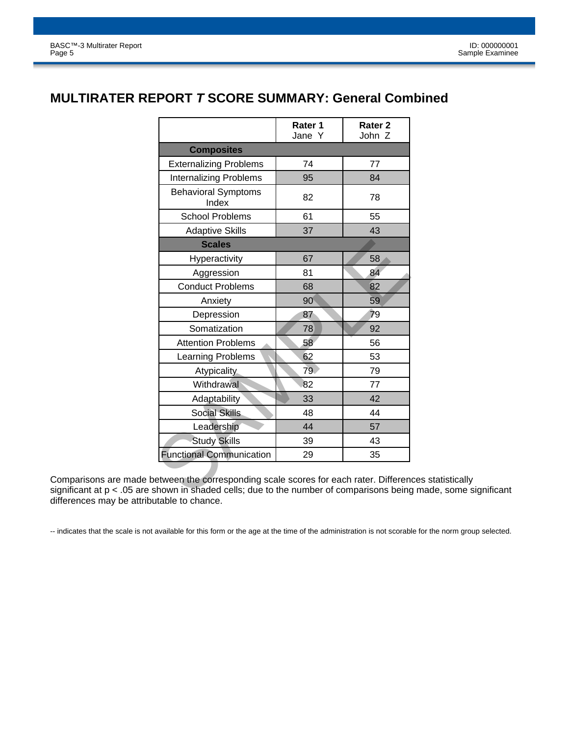#### **MULTIRATER REPORT** *T* **SCORE SUMMARY: General Combined**

|                                                                                                                                 | Rater 1<br>Jane Y | Rater <sub>2</sub><br>John Z |
|---------------------------------------------------------------------------------------------------------------------------------|-------------------|------------------------------|
| <b>Composites</b>                                                                                                               |                   |                              |
| <b>Externalizing Problems</b>                                                                                                   | 74                | 77                           |
| <b>Internalizing Problems</b>                                                                                                   | 95                | 84                           |
| <b>Behavioral Symptoms</b><br>Index                                                                                             | 82                | 78                           |
| <b>School Problems</b>                                                                                                          | 61                | 55                           |
| <b>Adaptive Skills</b>                                                                                                          | 37                | 43                           |
| <b>Scales</b>                                                                                                                   |                   |                              |
| Hyperactivity                                                                                                                   | 67                | 58                           |
| Aggression                                                                                                                      | 81                | 84                           |
| <b>Conduct Problems</b>                                                                                                         | 68                | 82                           |
| Anxiety                                                                                                                         | 90                | 59                           |
| Depression                                                                                                                      | 87                | 79                           |
| Somatization                                                                                                                    | 78                | 92                           |
| <b>Attention Problems</b>                                                                                                       | 58                | 56                           |
| Learning Problems                                                                                                               | 62                | 53                           |
| <b>Atypicality</b>                                                                                                              | 79                | 79                           |
| Withdrawal                                                                                                                      | 82                | 77                           |
| Adaptability                                                                                                                    | 33                | 42                           |
| <b>Social Skills</b>                                                                                                            | 48                | 44                           |
| Leadership                                                                                                                      | 44                | 57                           |
| <b>Study Skills</b>                                                                                                             | 39                | 43                           |
| <b>Functional Communication</b>                                                                                                 | 29                | 35                           |
| etween the corresponding scale scores for each rater. Differen<br>shown in shaded cells; due to the number of comparisons being |                   |                              |

Comparisons are made between the corresponding scale scores for each rater. Differences statistically significant at p < .05 are shown in shaded cells; due to the number of comparisons being made, some significant differences may be attributable to chance.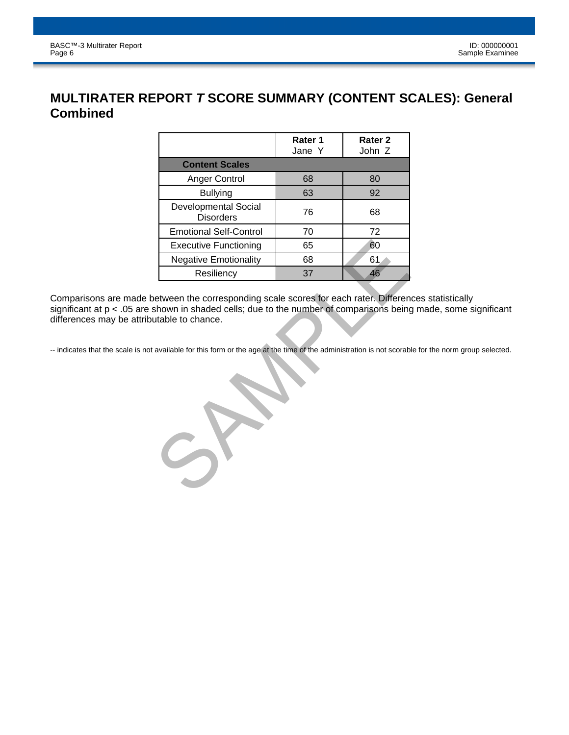### **MULTIRATER REPORT** *T* **SCORE SUMMARY (CONTENT SCALES): General Combined**

|                                                                                     |                                                 | Rater 1<br>Jane Y | Rater <sub>2</sub><br>John Z |  |  |
|-------------------------------------------------------------------------------------|-------------------------------------------------|-------------------|------------------------------|--|--|
|                                                                                     | <b>Content Scales</b>                           |                   |                              |  |  |
|                                                                                     | <b>Anger Control</b>                            | 68                | 80                           |  |  |
|                                                                                     | <b>Bullying</b>                                 | 63                | 92                           |  |  |
|                                                                                     | <b>Developmental Social</b><br><b>Disorders</b> | 76                | 68                           |  |  |
|                                                                                     | <b>Emotional Self-Control</b>                   | 70                | 72                           |  |  |
|                                                                                     | <b>Executive Functioning</b>                    | 65                | 60                           |  |  |
|                                                                                     | <b>Negative Emotionality</b>                    | 68                | 61                           |  |  |
|                                                                                     | Resiliency                                      | 37                | 46                           |  |  |
| available for this form or the age at the time of the administration is not scorabl |                                                 |                   |                              |  |  |
|                                                                                     |                                                 |                   |                              |  |  |

Comparisons are made between the corresponding scale scores for each rater. Differences statistically significant at p < .05 are shown in shaded cells; due to the number of comparisons being made, some significant differences may be attributable to chance.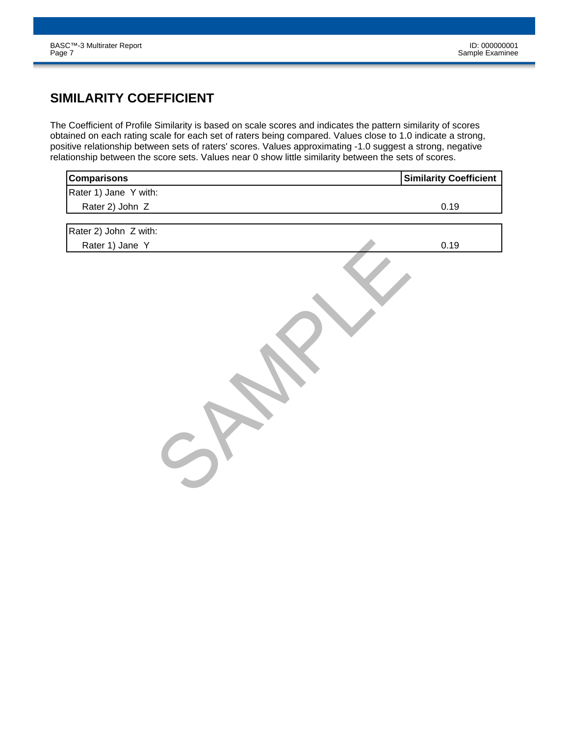# **SIMILARITY COEFFICIENT**

The Coefficient of Profile Similarity is based on scale scores and indicates the pattern similarity of scores obtained on each rating scale for each set of raters being compared. Values close to 1.0 indicate a strong, positive relationship between sets of raters' scores. Values approximating -1.0 suggest a strong, negative relationship between the score sets. Values near 0 show little similarity between the sets of scores.

| <b>Similarity Coefficient</b> | <b>Comparisons</b>    |
|-------------------------------|-----------------------|
|                               | Rater 1) Jane Y with: |
| 0.19                          | Rater 2) John Z       |
|                               | Rater 2) John Z with: |
| 0.19                          | Rater 1) Jane Y       |
|                               |                       |
|                               |                       |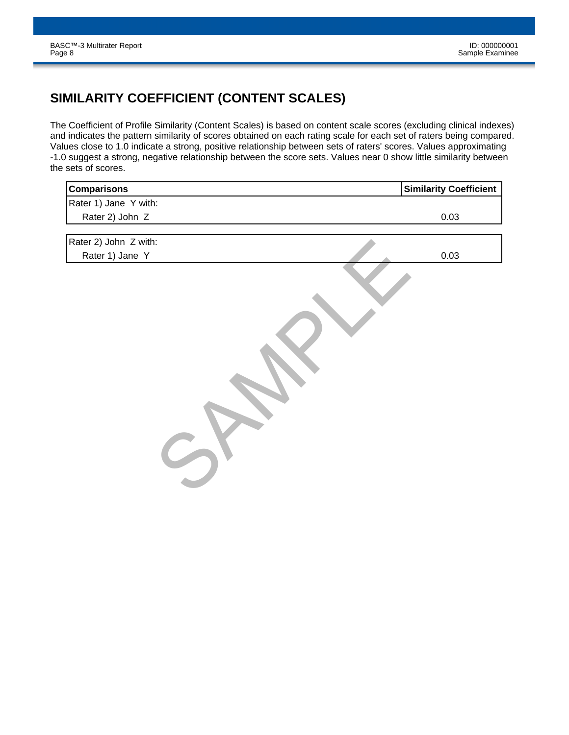# **SIMILARITY COEFFICIENT (CONTENT SCALES)**

The Coefficient of Profile Similarity (Content Scales) is based on content scale scores (excluding clinical indexes) and indicates the pattern similarity of scores obtained on each rating scale for each set of raters being compared. Values close to 1.0 indicate a strong, positive relationship between sets of raters' scores. Values approximating -1.0 suggest a strong, negative relationship between the score sets. Values near 0 show little similarity between the sets of scores.

| Comparisons           | <b>Similarity Coefficient</b> |
|-----------------------|-------------------------------|
| Rater 1) Jane Y with: |                               |
| Rater 2) John Z       | 0.03                          |
|                       |                               |
| Rater 2) John Z with: |                               |
| Rater 1) Jane Y       | 0.03                          |
|                       |                               |